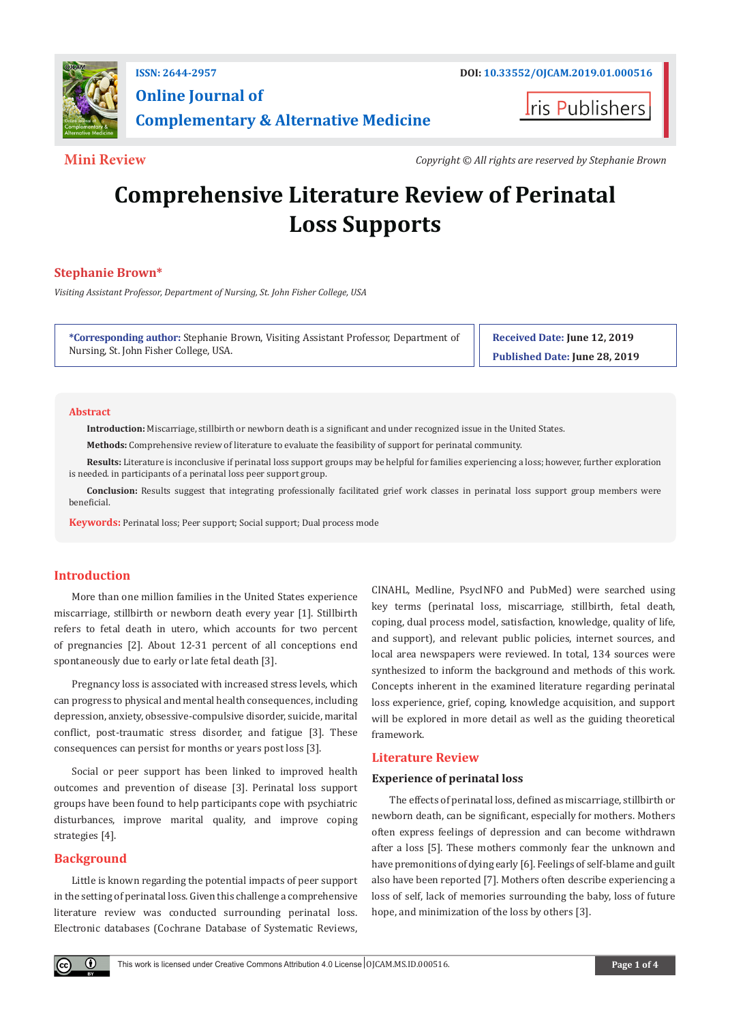

# **Online Journal of Complementary & Alternative Medicine**

**Iris Publishers** 

**Mini Review** *Copyright © All rights are reserved by Stephanie Brown*

# **Comprehensive Literature Review of Perinatal Loss Supports**

# **Stephanie Brown\***

*Visiting Assistant Professor, Department of Nursing, St. John Fisher College, USA*

**\*Corresponding author:** Stephanie Brown, Visiting Assistant Professor, Department of Nursing, St. John Fisher College, USA.

**Received Date: June 12, 2019 Published Date: June 28, 2019**

#### **Abstract**

**Introduction:** Miscarriage, stillbirth or newborn death is a significant and under recognized issue in the United States.

**Methods:** Comprehensive review of literature to evaluate the feasibility of support for perinatal community.

**Results:** Literature is inconclusive if perinatal loss support groups may be helpful for families experiencing a loss; however, further exploration is needed. in participants of a perinatal loss peer support group.

**Conclusion:** Results suggest that integrating professionally facilitated grief work classes in perinatal loss support group members were beneficial.

**Keywords:** Perinatal loss; Peer support; Social support; Dual process mode

# **Introduction**

More than one million families in the United States experience miscarriage, stillbirth or newborn death every year [1]. Stillbirth refers to fetal death in utero, which accounts for two percent of pregnancies [2]. About 12-31 percent of all conceptions end spontaneously due to early or late fetal death [3].

Pregnancy loss is associated with increased stress levels, which can progress to physical and mental health consequences, including depression, anxiety, obsessive-compulsive disorder, suicide, marital conflict, post-traumatic stress disorder, and fatigue [3]. These consequences can persist for months or years post loss [3].

Social or peer support has been linked to improved health outcomes and prevention of disease [3]. Perinatal loss support groups have been found to help participants cope with psychiatric disturbances, improve marital quality, and improve coping strategies [4].

#### **Background**

 $\bf \Theta$ 

Little is known regarding the potential impacts of peer support in the setting of perinatal loss. Given this challenge a comprehensive literature review was conducted surrounding perinatal loss. Electronic databases (Cochrane Database of Systematic Reviews,

CINAHL, Medline, PsycINFO and PubMed) were searched using key terms (perinatal loss, miscarriage, stillbirth, fetal death, coping, dual process model, satisfaction, knowledge, quality of life, and support), and relevant public policies, internet sources, and local area newspapers were reviewed. In total, 134 sources were synthesized to inform the background and methods of this work. Concepts inherent in the examined literature regarding perinatal loss experience, grief, coping, knowledge acquisition, and support will be explored in more detail as well as the guiding theoretical framework.

# **Literature Review**

### **Experience of perinatal loss**

The effects of perinatal loss, defined as miscarriage, stillbirth or newborn death, can be significant, especially for mothers. Mothers often express feelings of depression and can become withdrawn after a loss [5]. These mothers commonly fear the unknown and have premonitions of dying early [6]. Feelings of self-blame and guilt also have been reported [7]. Mothers often describe experiencing a loss of self, lack of memories surrounding the baby, loss of future hope, and minimization of the loss by others [3].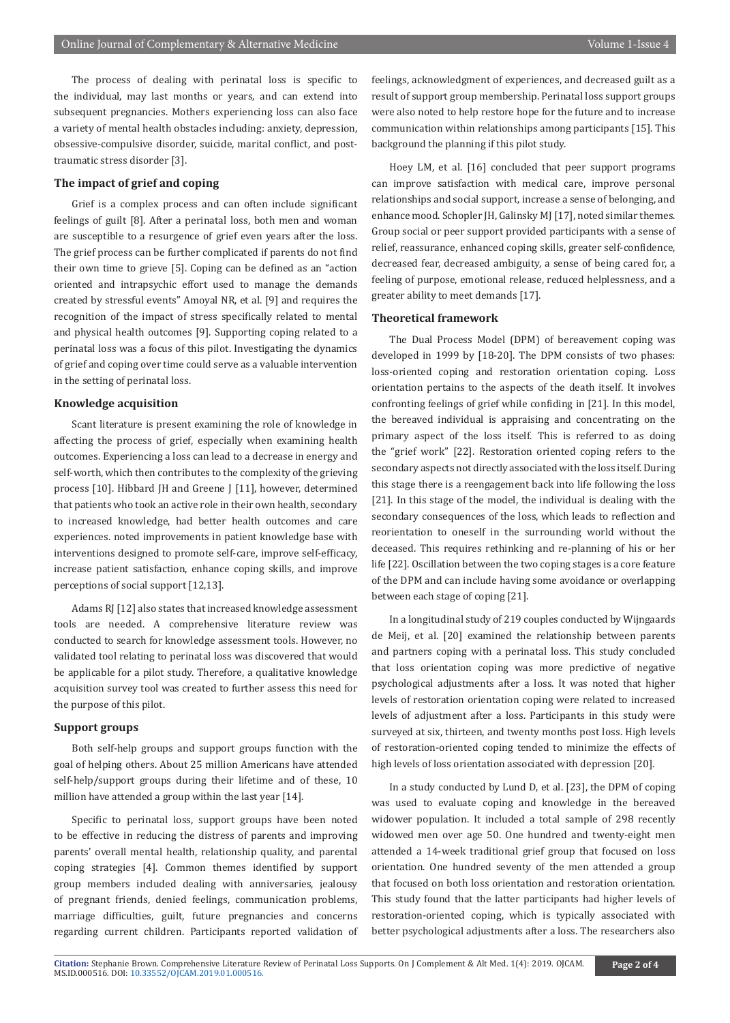The process of dealing with perinatal loss is specific to the individual, may last months or years, and can extend into subsequent pregnancies. Mothers experiencing loss can also face a variety of mental health obstacles including: anxiety, depression, obsessive-compulsive disorder, suicide, marital conflict, and posttraumatic stress disorder [3].

#### **The impact of grief and coping**

Grief is a complex process and can often include significant feelings of guilt [8]. After a perinatal loss, both men and woman are susceptible to a resurgence of grief even years after the loss. The grief process can be further complicated if parents do not find their own time to grieve [5]. Coping can be defined as an "action oriented and intrapsychic effort used to manage the demands created by stressful events" Amoyal NR, et al. [9] and requires the recognition of the impact of stress specifically related to mental and physical health outcomes [9]. Supporting coping related to a perinatal loss was a focus of this pilot. Investigating the dynamics of grief and coping over time could serve as a valuable intervention in the setting of perinatal loss.

#### **Knowledge acquisition**

Scant literature is present examining the role of knowledge in affecting the process of grief, especially when examining health outcomes. Experiencing a loss can lead to a decrease in energy and self-worth, which then contributes to the complexity of the grieving process [10]. Hibbard JH and Greene J [11], however, determined that patients who took an active role in their own health, secondary to increased knowledge, had better health outcomes and care experiences. noted improvements in patient knowledge base with interventions designed to promote self-care, improve self-efficacy, increase patient satisfaction, enhance coping skills, and improve perceptions of social support [12,13].

Adams RJ [12] also states that increased knowledge assessment tools are needed. A comprehensive literature review was conducted to search for knowledge assessment tools. However, no validated tool relating to perinatal loss was discovered that would be applicable for a pilot study. Therefore, a qualitative knowledge acquisition survey tool was created to further assess this need for the purpose of this pilot.

### **Support groups**

Both self-help groups and support groups function with the goal of helping others. About 25 million Americans have attended self-help/support groups during their lifetime and of these, 10 million have attended a group within the last year [14].

Specific to perinatal loss, support groups have been noted to be effective in reducing the distress of parents and improving parents' overall mental health, relationship quality, and parental coping strategies [4]. Common themes identified by support group members included dealing with anniversaries, jealousy of pregnant friends, denied feelings, communication problems, marriage difficulties, guilt, future pregnancies and concerns regarding current children. Participants reported validation of feelings, acknowledgment of experiences, and decreased guilt as a result of support group membership. Perinatal loss support groups were also noted to help restore hope for the future and to increase communication within relationships among participants [15]. This background the planning if this pilot study.

Hoey LM, et al. [16] concluded that peer support programs can improve satisfaction with medical care, improve personal relationships and social support, increase a sense of belonging, and enhance mood. Schopler JH, Galinsky MJ [17], noted similar themes. Group social or peer support provided participants with a sense of relief, reassurance, enhanced coping skills, greater self-confidence, decreased fear, decreased ambiguity, a sense of being cared for, a feeling of purpose, emotional release, reduced helplessness, and a greater ability to meet demands [17].

#### **Theoretical framework**

The Dual Process Model (DPM) of bereavement coping was developed in 1999 by [18-20]. The DPM consists of two phases: loss-oriented coping and restoration orientation coping. Loss orientation pertains to the aspects of the death itself. It involves confronting feelings of grief while confiding in [21]. In this model, the bereaved individual is appraising and concentrating on the primary aspect of the loss itself. This is referred to as doing the "grief work" [22]. Restoration oriented coping refers to the secondary aspects not directly associated with the loss itself. During this stage there is a reengagement back into life following the loss [21]. In this stage of the model, the individual is dealing with the secondary consequences of the loss, which leads to reflection and reorientation to oneself in the surrounding world without the deceased. This requires rethinking and re-planning of his or her life [22]. Oscillation between the two coping stages is a core feature of the DPM and can include having some avoidance or overlapping between each stage of coping [21].

In a longitudinal study of 219 couples conducted by Wijngaards de Meij, et al. [20] examined the relationship between parents and partners coping with a perinatal loss. This study concluded that loss orientation coping was more predictive of negative psychological adjustments after a loss. It was noted that higher levels of restoration orientation coping were related to increased levels of adjustment after a loss. Participants in this study were surveyed at six, thirteen, and twenty months post loss. High levels of restoration-oriented coping tended to minimize the effects of high levels of loss orientation associated with depression [20].

In a study conducted by Lund D, et al. [23], the DPM of coping was used to evaluate coping and knowledge in the bereaved widower population. It included a total sample of 298 recently widowed men over age 50. One hundred and twenty-eight men attended a 14-week traditional grief group that focused on loss orientation. One hundred seventy of the men attended a group that focused on both loss orientation and restoration orientation. This study found that the latter participants had higher levels of restoration-oriented coping, which is typically associated with better psychological adjustments after a loss. The researchers also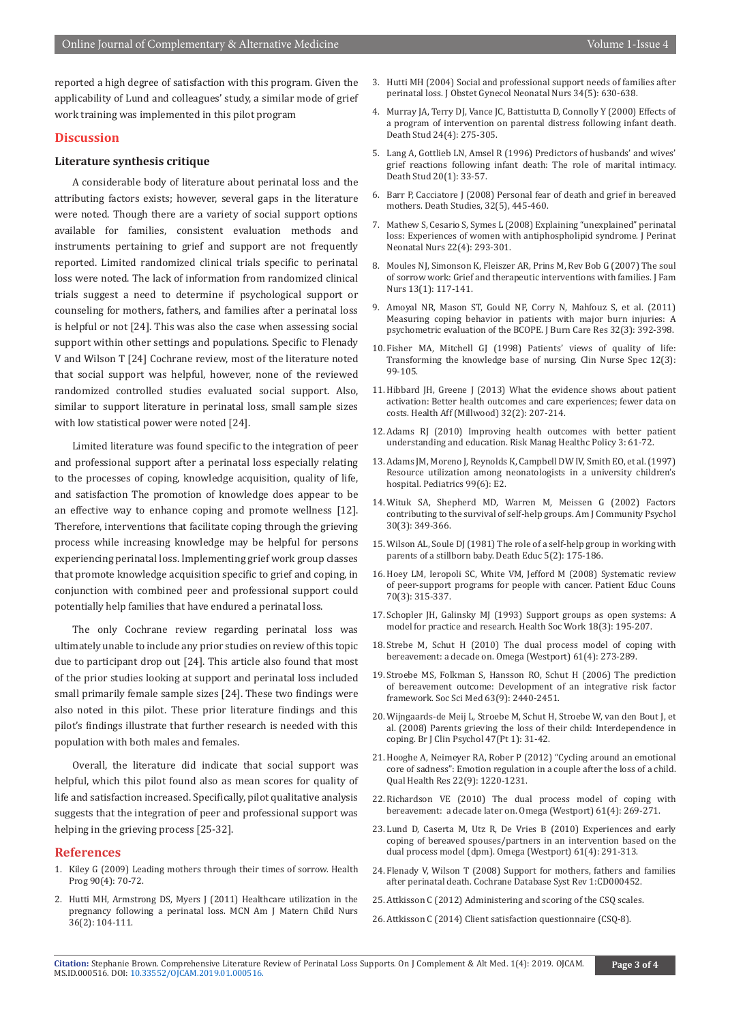reported a high degree of satisfaction with this program. Given the applicability of Lund and colleagues' study, a similar mode of grief work training was implemented in this pilot program

#### **Discussion**

#### **Literature synthesis critique**

A considerable body of literature about perinatal loss and the attributing factors exists; however, several gaps in the literature were noted. Though there are a variety of social support options available for families, consistent evaluation methods and instruments pertaining to grief and support are not frequently reported. Limited randomized clinical trials specific to perinatal loss were noted. The lack of information from randomized clinical trials suggest a need to determine if psychological support or counseling for mothers, fathers, and families after a perinatal loss is helpful or not [24]. This was also the case when assessing social support within other settings and populations. Specific to Flenady V and Wilson T [24] Cochrane review, most of the literature noted that social support was helpful, however, none of the reviewed randomized controlled studies evaluated social support. Also, similar to support literature in perinatal loss, small sample sizes with low statistical power were noted [24].

Limited literature was found specific to the integration of peer and professional support after a perinatal loss especially relating to the processes of coping, knowledge acquisition, quality of life, and satisfaction The promotion of knowledge does appear to be an effective way to enhance coping and promote wellness [12]. Therefore, interventions that facilitate coping through the grieving process while increasing knowledge may be helpful for persons experiencing perinatal loss. Implementing grief work group classes that promote knowledge acquisition specific to grief and coping, in conjunction with combined peer and professional support could potentially help families that have endured a perinatal loss.

The only Cochrane review regarding perinatal loss was ultimately unable to include any prior studies on review of this topic due to participant drop out [24]. This article also found that most of the prior studies looking at support and perinatal loss included small primarily female sample sizes [24]. These two findings were also noted in this pilot. These prior literature findings and this pilot's findings illustrate that further research is needed with this population with both males and females.

Overall, the literature did indicate that social support was helpful, which this pilot found also as mean scores for quality of life and satisfaction increased. Specifically, pilot qualitative analysis suggests that the integration of peer and professional support was helping in the grieving process [25-32].

#### **References**

- 1. [Kiley G \(2009\) Leading mothers through their times of sorrow. Health](https://www.ncbi.nlm.nih.gov/pubmed/19603724)  [Prog 90\(4\): 70-72.](https://www.ncbi.nlm.nih.gov/pubmed/19603724)
- 2. [Hutti MH, Armstrong DS, Myers J \(2011\) Healthcare utilization in the](https://www.ncbi.nlm.nih.gov/pubmed/21350373)  [pregnancy following a perinatal loss. MCN Am J Matern Child Nurs](https://www.ncbi.nlm.nih.gov/pubmed/21350373)  [36\(2\): 104-111.](https://www.ncbi.nlm.nih.gov/pubmed/21350373)
- 3. [Hutti MH \(2004\) Social and professional support needs of families after](https://www.ncbi.nlm.nih.gov/pubmed/16227519) [perinatal loss. J Obstet Gynecol Neonatal Nurs 34\(5\): 630-638.](https://www.ncbi.nlm.nih.gov/pubmed/16227519)
- 4. [Murray JA, Terry DJ, Vance JC, Battistutta D, Connolly Y \(2000\) Effects of](https://www.ncbi.nlm.nih.gov/pubmed/11010730) [a program of intervention on parental distress following infant death.](https://www.ncbi.nlm.nih.gov/pubmed/11010730) [Death Stud 24\(4\): 275-305.](https://www.ncbi.nlm.nih.gov/pubmed/11010730)
- 5. [Lang A, Gottlieb LN, Amsel R \(1996\) Predictors of husbands' and wives'](https://www.ncbi.nlm.nih.gov/pubmed/10160531) [grief reactions following infant death: The role of marital intimacy.](https://www.ncbi.nlm.nih.gov/pubmed/10160531) [Death Stud 20\(1\): 33-57.](https://www.ncbi.nlm.nih.gov/pubmed/10160531)
- 6. Barr P, Cacciatore J (2008) Personal fear of death and grief in bereaved mothers. Death Studies, 32(5), 445-460.
- 7. [Mathew S, Cesario S, Symes L \(2008\) Explaining "unexplained" perinatal](https://www.ncbi.nlm.nih.gov/pubmed/19011494) [loss: Experiences of women with antiphospholipid syndrome. J Perinat](https://www.ncbi.nlm.nih.gov/pubmed/19011494) [Neonatal Nurs 22\(4\): 293-301.](https://www.ncbi.nlm.nih.gov/pubmed/19011494)
- 8. [Moules NJ, Simonson K, Fleiszer AR, Prins M, Rev Bob G \(2007\) The soul](https://www.ncbi.nlm.nih.gov/pubmed/17220385) [of sorrow work: Grief and therapeutic interventions with families. J Fam](https://www.ncbi.nlm.nih.gov/pubmed/17220385) [Nurs 13\(1\): 117-141.](https://www.ncbi.nlm.nih.gov/pubmed/17220385)
- 9. [Amoyal NR, Mason ST, Gould NF, Corry N, Mahfouz S, et al. \(2011\)](https://www.ncbi.nlm.nih.gov/pubmed/21562462) [Measuring coping behavior in patients with major burn injuries: A](https://www.ncbi.nlm.nih.gov/pubmed/21562462) [psychometric evaluation of the BCOPE. J Burn Care Res 32\(3\): 392-398.](https://www.ncbi.nlm.nih.gov/pubmed/21562462)
- 10. [Fisher MA, Mitchell GJ \(1998\) Patients' views of quality of life:](https://www.ncbi.nlm.nih.gov/pubmed/9633326) [Transforming the knowledge base of nursing. Clin Nurse Spec 12\(3\):](https://www.ncbi.nlm.nih.gov/pubmed/9633326) [99-105.](https://www.ncbi.nlm.nih.gov/pubmed/9633326)
- 11. [Hibbard JH, Greene J \(2013\) What the evidence shows about patient](https://www.ncbi.nlm.nih.gov/pubmed/23381511) [activation: Better health outcomes and care experiences; fewer data on](https://www.ncbi.nlm.nih.gov/pubmed/23381511) [costs. Health Aff \(Millwood\) 32\(2\): 207-214.](https://www.ncbi.nlm.nih.gov/pubmed/23381511)
- 12. [Adams RJ \(2010\) Improving health outcomes with better patient](https://www.ncbi.nlm.nih.gov/pubmed/22312219) [understanding and education. Risk Manag Healthc Policy 3: 61-72.](https://www.ncbi.nlm.nih.gov/pubmed/22312219)
- 13. [Adams JM, Moreno J, Reynolds K, Campbell DW IV, Smith EO, et al. \(1997\)](https://www.ncbi.nlm.nih.gov/pubmed/9164798) [Resource utilization among neonatologists in a university children's](https://www.ncbi.nlm.nih.gov/pubmed/9164798) [hospital. Pediatrics 99\(6\): E2.](https://www.ncbi.nlm.nih.gov/pubmed/9164798)
- 14. [Wituk SA, Shepherd MD, Warren M, Meissen G \(2002\) Factors](https://www.ncbi.nlm.nih.gov/pubmed/12054034) [contributing to the survival of self-help groups. Am J Community Psychol](https://www.ncbi.nlm.nih.gov/pubmed/12054034) [30\(3\): 349-366.](https://www.ncbi.nlm.nih.gov/pubmed/12054034)
- 15. [Wilson AL, Soule DJ \(1981\) The role of a self-help group in working with](https://www.ncbi.nlm.nih.gov/pubmed/10256887) [parents of a stillborn baby. Death Educ 5\(2\): 175-186.](https://www.ncbi.nlm.nih.gov/pubmed/10256887)
- 16. [Hoey LM, Ieropoli SC, White VM, Jefford M \(2008\) Systematic review](https://www.ncbi.nlm.nih.gov/pubmed/18191527) [of peer-support programs for people with cancer. Patient Educ Couns](https://www.ncbi.nlm.nih.gov/pubmed/18191527) [70\(3\): 315-337.](https://www.ncbi.nlm.nih.gov/pubmed/18191527)
- 17. [Schopler JH, Galinsky MJ \(1993\) Support groups as open systems: A](https://www.ncbi.nlm.nih.gov/pubmed/8406224) [model for practice and research. Health Soc Work 18\(3\): 195-207.](https://www.ncbi.nlm.nih.gov/pubmed/8406224)
- 18. [Strebe M, Schut H \(2010\) The dual process model of coping with](https://www.ncbi.nlm.nih.gov/pubmed/21058610) [bereavement: a decade on. Omega \(Westport\) 61\(4\): 273-289.](https://www.ncbi.nlm.nih.gov/pubmed/21058610)
- 19. [Stroebe MS, Folkman S, Hansson RO, Schut H \(2006\) The prediction](https://www.ncbi.nlm.nih.gov/pubmed/16875769) [of bereavement outcome: Development of an integrative risk factor](https://www.ncbi.nlm.nih.gov/pubmed/16875769) [framework. Soc Sci Med 63\(9\): 2440-2451.](https://www.ncbi.nlm.nih.gov/pubmed/16875769)
- 20. [Wijngaards-de Meij L, Stroebe M, Schut H, Stroebe W, van den Bout J, et](https://www.ncbi.nlm.nih.gov/pubmed/17588295) [al. \(2008\) Parents grieving the loss of their child: Interdependence in](https://www.ncbi.nlm.nih.gov/pubmed/17588295) [coping. Br J Clin Psychol 47\(Pt 1\): 31-42.](https://www.ncbi.nlm.nih.gov/pubmed/17588295)
- 21. [Hooghe A, Neimeyer RA, Rober P \(2012\) "Cycling around an emotional](https://www.ncbi.nlm.nih.gov/pubmed/22745365) [core of sadness": Emotion regulation in a couple after the loss of a child.](https://www.ncbi.nlm.nih.gov/pubmed/22745365) [Qual Health Res 22\(9\): 1220-1231.](https://www.ncbi.nlm.nih.gov/pubmed/22745365)
- 22. [Richardson VE \(2010\) The dual process model of coping with](https://www.ncbi.nlm.nih.gov/pubmed/21058609) [bereavement: a decade later on. Omega \(Westport\) 61\(4\): 269-271.](https://www.ncbi.nlm.nih.gov/pubmed/21058609)
- 23. [Lund D, Caserta M, Utz R, De Vries B \(2010\) Experiences and early](https://www.ncbi.nlm.nih.gov/pubmed/21058611) [coping of bereaved spouses/partners in an intervention based on the](https://www.ncbi.nlm.nih.gov/pubmed/21058611) [dual process model \(dpm\). Omega \(Westport\) 61\(4\): 291-313.](https://www.ncbi.nlm.nih.gov/pubmed/21058611)
- 24. [Flenady V, Wilson T \(2008\) Support for mothers, fathers and families](https://www.ncbi.nlm.nih.gov/pubmed/18253978) [after perinatal death. Cochrane Database Syst Rev 1:CD000452.](https://www.ncbi.nlm.nih.gov/pubmed/18253978)
- 25. [Attkisson C \(2012\) Administering and scoring of the CSQ scales.](http://www.csqscales.com/pdfs/Brief%20Summary%20of%20the%20Client%20Satisfaction%20Questionnaire%20(CSQ%20Scales).pdf)
- 26. Attkisson C (2014) Client satisfaction questionnaire (CSQ-8).